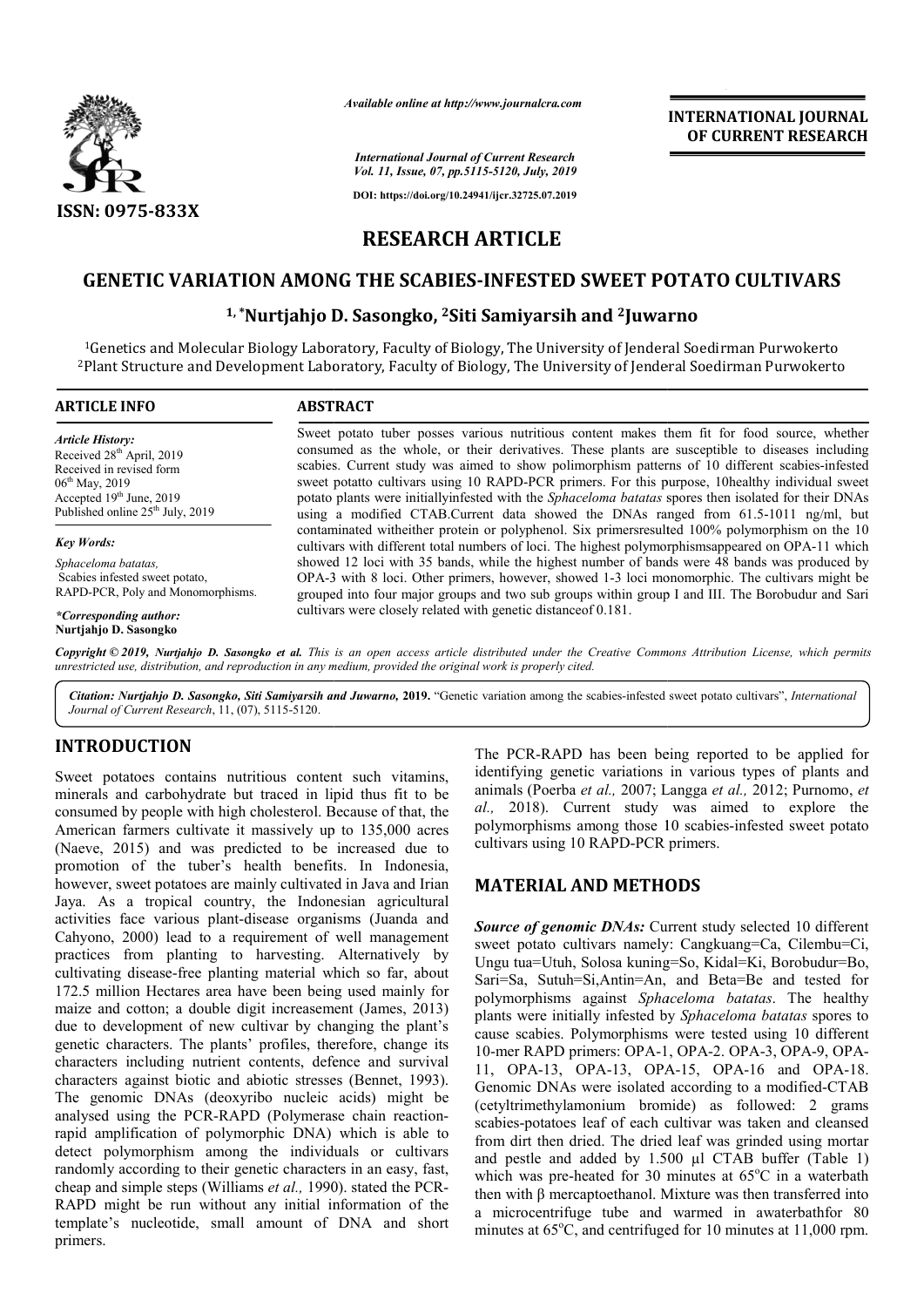

*Available online at http://www.journalcra.com*

## **INTERNATIONAL JOURNAL OF CURRENT RESEARCH**

*International Journal of Current Research Vol. 11, Issue, 07, pp.5115-5120, July, 2019*

**DOI: https://doi.org/10.24941/ijcr.32725.07.2019**

# **RESEARCH ARTICLE**

# GENETIC VARIATION AMONG THE SCABIES-INFESTED SWEET POTATO CULTIVARS<br><sup>1, \*</sup>Nurtjahjo D. Sasongko, <sup>2</sup>Siti Samiyarsih and <sup>2</sup>Juwarno

# **1, \*Nurtjahjo D. Sasongko, Nurtjahjo 2Siti Samiyarsih and 2Juwarno**

<sup>1</sup>Genetics and Molecular Biology Laboratory, Faculty of Biology, The University of Jenderal Soedirman Purwokerto 2Plant Structure and Development Laboratory, Faculty of Biology, The University of Jenderal Soedirman Purwokerto

| <b>ARTICLE INFO</b>                                                                                                                                                                                      | <b>ABSTRACT</b>                                                                                                                                                                                                                                                                                                                                                                                                                                                                                                                                                                                              |
|----------------------------------------------------------------------------------------------------------------------------------------------------------------------------------------------------------|--------------------------------------------------------------------------------------------------------------------------------------------------------------------------------------------------------------------------------------------------------------------------------------------------------------------------------------------------------------------------------------------------------------------------------------------------------------------------------------------------------------------------------------------------------------------------------------------------------------|
| <b>Article History:</b><br>Received 28 <sup>th</sup> April, 2019<br>Received in revised form<br>$06^{\text{th}}$ May, 2019<br>Accepted $19th$ June, 2019<br>Published online 25 <sup>th</sup> July, 2019 | Sweet potato tuber posses various nutritious content makes them fit for food source, whether<br>consumed as the whole, or their derivatives. These plants are susceptible to diseases including<br>scabies. Current study was aimed to show polimorphism patterns of 10 different scabies-infested<br>sweet potatto cultivars using 10 RAPD-PCR primers. For this purpose, 10healthy individual sweet<br>potato plants were initially infested with the <i>Sphaceloma batatas</i> spores then isolated for their DNAs<br>using a modified CTAB.Current data showed the DNAs ranged from 61.5-1011 ng/ml, but |
| <b>Key Words:</b>                                                                                                                                                                                        | contaminated with either protein or polyphenol. Six primers resulted 100% polymorphism on the 10<br>cultivars with different total numbers of loci. The highest polymorphisms appeared on OPA-11 which                                                                                                                                                                                                                                                                                                                                                                                                       |
| Sphaceloma batatas,<br>Scabies infested sweet potato.<br>RAPD-PCR, Poly and Monomorphisms.                                                                                                               | showed 12 loci with 35 bands, while the highest number of bands were 48 bands was produced by<br>OPA-3 with 8 loci. Other primers, however, showed 1-3 loci monomorphic. The cultivars might be<br>grouped into four major groups and two sub groups within group I and III. The Borobudur and Sari                                                                                                                                                                                                                                                                                                          |
| *Corresponding author:<br>Nurtiahio D. Sasongko                                                                                                                                                          | cultivars were closely related with genetic distance of 0.181.                                                                                                                                                                                                                                                                                                                                                                                                                                                                                                                                               |

Copyright © 2019, Nurtjahjo D. Sasongko et al. This is an open access article distributed under the Creative Commons Attribution License, which permits *unrestricted use, distribution, and reproduction in any medium, provided the original work is properly cited.*

Citation: Nurtjahjo D. Sasongko, Siti Samiyarsih and Juwarno, 2019. "Genetic variation among the scabies-infested sweet potato cultivars", *International Journal of Current Research*, 11, (07), 5115-5120.

## **INTRODUCTION**

Sweet potatoes contains nutritious content such vitamins, minerals and carbohydrate but traced in lipid thus fit to be consumed by people with high cholesterol. Because of that, the American farmers cultivate it massively up to 135,000 acres (Naeve, 2015) and was predicted to be increased due to promotion of the tuber's health benefits. In Indonesia, however, sweet potatoes are mainly cultivated in Java and Irian Jaya. As a tropical country, the Indonesian agricultural activities face various plant-disease organisms (Juanda and Cahyono, 2000) lead to a requirement of well management practices from planting to harvesting. Alternatively by cultivating disease-free planting material which so far, about 172.5 million Hectares area have been being used mainly for maize and cotton; a double digit increasement (James, 2013) due to development of new cultivar by changing the plant's genetic characters. The plants' profiles, therefore, change its characters including nutrient contents, defence and survival characters against biotic and abiotic stresses (Bennet, 1993). The genomic DNAs (deoxyribo nucleic acids) might be analysed using the PCR-RAPD (Polymerase chain reactionrapid amplification of polymorphic DNA) which is able to detect polymorphism among the individuals or cultivars randomly according to their genetic characters in an easy, fast, cheap and simple steps (Williams et al., 1990). stated the PCR-RAPD might be run without any initial information of the template's nucleotide, small amount of DNA and short primers.

The PCR-RAPD has been being reported to be applied for The PCR-RAPD has been being reported to be applied for identifying genetic variations in various types of plants and animals (Poerba *et al.,* 2007; Langga *et al.,* 2012; Purnomo, *et al.,* 2018). Current study was aimed to explore the al., 2018). Current study was aimed to explore the polymorphisms among those 10 scabies-infested sweet potato cultivars using 10 RAPD-PCR primers.

# **MATERIAL AND METHODS**

*Source of genomic DNAs:* Current study selected 10 different sweet potato cultivars namely: Cangkuang=Ca, Cilembu=Ci, Ungu tua=Utuh, Solosa kuning=So, Kidal=Ki, Borobudur=Bo, Sari=Sa, Sutuh=Si,Antin=An, and Beta=Be and tested for polymorphisms against *Sphaceloma batatas Sphaceloma* . The healthy plants were initially infested by Sphaceloma batatas spores to cause scabies. Polymorphisms were tested using 10 different cause scabies. Polymorphisms were tested using 10 different 10-mer RAPD primers: OPA-1, OPA-2. OPA-3, OPA-9, OPA-11, OPA-13, OPA-13, OPA 13, OPA-15, OPA-16 and OPA-18. Genomic DNAs were isolated according to a modified-CTAB (cetyltrimethylamonium bromide) as followed: 2 grams (cetyltrimethylamonium bromide) as followed: 2 grams scabies-potatoes leaf of each cultivar was taken and cleansed from dirt then dried. The dried leaf was grinded using mortar and pestle and added by 1.500 µl CTAB buffer (Table 1) from dirt then dried. The dried leaf was grinded using mortar<br>and pestle and added by 1.500  $\mu$ l CTAB buffer (Table 1)<br>which was pre-heated for 30 minutes at 65°C in a waterbath then with β mercaptoethanol. Mixture was then transferred into a microcentrifuge tube and warmed in awaterbathfor 80 minutes at  $65^{\circ}$ C, and centrifuged for 10 minutes at 11,000 rpm. PRAPD-PCR primers.<br> **ND METHODS**<br> **nic DNAs:** Current study selected 10 different<br>
tivars namely: Cangkuang=Ca, Cilembu=Ci,<br>
Solosa kuning=So, Kidal=Ki, Borobudur=Bo, **INTERNATIONAL JOUENEES (INTERNATIONAL JOUENEES (1978)**<br> **INTERNATIONAL CONVERTIVATIONAL CONVERTIVATION**<br> **INTERNATIONAL CONVERTIVATION**<br> **INTERNATIONAL CONVERTIVATION**<br> **INTERNATIONAL CONVERTIVATION**<br> **INTERNATIONAL SURF**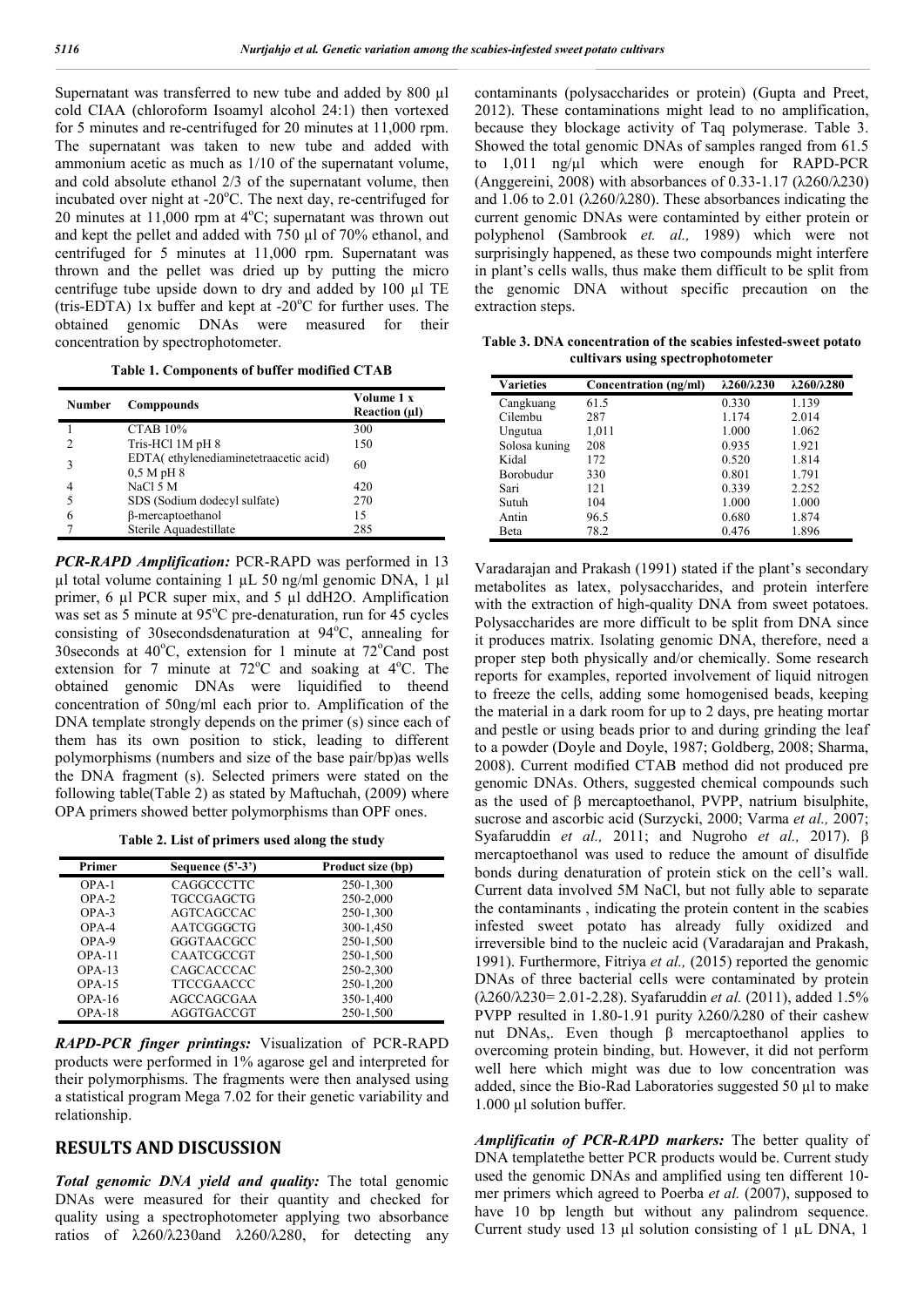Supernatant was transferred to new tube and added by 800 µl cold CIAA (chloroform Isoamyl alcohol 24:1) then vortexed for 5 minutes and re-centrifuged for 20 minutes at 11,000 rpm. The supernatant was taken to new tube and added with ammonium acetic as much as 1/10 of the supernatant volume, and cold absolute ethanol 2/3 of the supernatant volume, then incubated over night at -20°C. The next day, re-centrifuged for 20 minutes at  $11,000$  rpm at  $4^{\circ}$ C; supernatant was thrown out and kept the pellet and added with 750 µl of 70% ethanol, and centrifuged for 5 minutes at 11,000 rpm. Supernatant was thrown and the pellet was dried up by putting the micro centrifuge tube upside down to dry and added by 100 µl TE (tris-EDTA) 1x buffer and kept at -20 $^{\circ}$ C for further uses. The obtained genomic DNAs were measured for their concentration by spectrophotometer.

**Table 1. Components of buffer modified CTAB**

| Number | Comppounds                                          | Volume 1 x<br>Reaction (µl) |
|--------|-----------------------------------------------------|-----------------------------|
|        | CTAB 10%                                            | 300                         |
| 2      | Tris-HCl 1M pH 8                                    | 150                         |
| 3      | EDTA(ethylenediaminetetraacetic acid)<br>0.5 M pH 8 | 60                          |
| 4      | NaCl 5 M                                            | 420                         |
| 5      | SDS (Sodium dodecyl sulfate)                        | 270                         |
| 6      | β-mercaptoethanol                                   | 15                          |
|        | Sterile Aquadestillate                              | 285                         |

*PCR-RAPD Amplification:* PCR-RAPD was performed in 13  $\mu$ l total volume containing 1  $\mu$ L 50 ng/ml genomic DNA, 1  $\mu$ l primer, 6 µl PCR super mix, and 5 µl ddH2O. Amplification was set as 5 minute at 95°C pre-denaturation, run for 45 cycles consisting of 30secondsdenaturation at 94°C, annealing for 30 seconds at  $40^{\circ}$ C, extension for 1 minute at  $72^{\circ}$ Cand post extension for 7 minute at  $72^{\circ}$ C and soaking at  $4^{\circ}$ C. The obtained genomic DNAs were liquidified to theend concentration of 50ng/ml each prior to. Amplification of the DNA template strongly depends on the primer (s) since each of them has its own position to stick, leading to different polymorphisms (numbers and size of the base pair/bp)as wells the DNA fragment (s). Selected primers were stated on the following table(Table 2) as stated by Maftuchah, (2009) where OPA primers showed better polymorphisms than OPF ones.

**Table 2. List of primers used along the study**

| Primer   | Sequence $(5^2-3^2)$ | Product size (bp) |
|----------|----------------------|-------------------|
| $OPA-1$  | <b>CAGGCCCTTC</b>    | 250-1,300         |
| $OPA-2$  | TGCCGAGCTG           | 250-2,000         |
| $OPA-3$  | AGTCAGCCAC           | 250-1,300         |
| $OPA-4$  | AATCGGGCTG           | 300-1,450         |
| OPA-9    | GGGTAACGCC           | 250-1,500         |
| $OPA-11$ | CAATCGCCGT           | 250-1,500         |
| $OPA-13$ | CAGCACCCAC           | 250-2,300         |
| $OPA-15$ | <b>TTCCGAACCC</b>    | 250-1,200         |
| $OPA-16$ | AGCCAGCGAA           | 350-1,400         |
| $OPA-18$ | AGGTGACCGT           | 250-1.500         |

*RAPD-PCR finger printings:* Visualization of PCR-RAPD products were performed in 1% agarose gel and interpreted for their polymorphisms. The fragments were then analysed using a statistical program Mega 7.02 for their genetic variability and relationship.

### **RESULTS AND DISCUSSION**

*Total genomic DNA yield and quality:* The total genomic DNAs were measured for their quantity and checked for quality using a spectrophotometer applying two absorbance ratios of λ260/λ230and λ260/λ280, for detecting any contaminants (polysaccharides or protein) (Gupta and Preet, 2012). These contaminations might lead to no amplification, because they blockage activity of Taq polymerase. Table 3. Showed the total genomic DNAs of samples ranged from 61.5 to 1,011 ng/µl which were enough for RAPD-PCR (Anggereini, 2008) with absorbances of 0.33-1.17 (λ260/λ230) and 1.06 to 2.01 (λ260/λ280). These absorbances indicating the current genomic DNAs were contaminted by either protein or polyphenol (Sambrook *et. al.,* 1989) which were not surprisingly happened, as these two compounds might interfere in plant's cells walls, thus make them difficult to be split from the genomic DNA without specific precaution on the extraction steps.

**Table 3. DNA concentration of the scabies infested-sweet potato cultivars using spectrophotometer**

| <b>Varieties</b> | Concentration (ng/ml) | $\lambda$ 260/ $\lambda$ 230 | $\lambda$ 260/ $\lambda$ 280 |
|------------------|-----------------------|------------------------------|------------------------------|
| Cangkuang        | 61.5                  | 0.330                        | 1.139                        |
| Cilembu          | 287                   | 1.174                        | 2.014                        |
| Ungutua          | 1,011                 | 1.000                        | 1.062                        |
| Solosa kuning    | 208                   | 0.935                        | 1.921                        |
| Kidal            | 172                   | 0.520                        | 1.814                        |
| Borobudur        | 330                   | 0.801                        | 1.791                        |
| Sari             | 121                   | 0.339                        | 2.252                        |
| Sutuh            | 104                   | 1.000                        | 1.000                        |
| Antin            | 96.5                  | 0.680                        | 1.874                        |
| Beta             | 78.2                  | 0.476                        | 1.896                        |

Varadarajan and Prakash (1991) stated if the plant's secondary metabolites as latex, polysaccharides, and protein interfere with the extraction of high-quality DNA from sweet potatoes. Polysaccharides are more difficult to be split from DNA since it produces matrix. Isolating genomic DNA, therefore, need a proper step both physically and/or chemically. Some research reports for examples, reported involvement of liquid nitrogen to freeze the cells, adding some homogenised beads, keeping the material in a dark room for up to 2 days, pre heating mortar and pestle or using beads prior to and during grinding the leaf to a powder (Doyle and Doyle, 1987; Goldberg, 2008; Sharma, 2008). Current modified CTAB method did not produced pre genomic DNAs. Others, suggested chemical compounds such as the used of β mercaptoethanol, PVPP, natrium bisulphite, sucrose and ascorbic acid (Surzycki, 2000; Varma *et al.,* 2007; Syafaruddin *et al.,* 2011; and Nugroho *et al.,* 2017). β mercaptoethanol was used to reduce the amount of disulfide bonds during denaturation of protein stick on the cell's wall. Current data involved 5M NaCl, but not fully able to separate the contaminants , indicating the protein content in the scabies infested sweet potato has already fully oxidized and irreversible bind to the nucleic acid (Varadarajan and Prakash, 1991). Furthermore, Fitriya *et al.,* (2015) reported the genomic DNAs of three bacterial cells were contaminated by protein (λ260/λ230= 2.01-2.28). Syafaruddin *et al.* (2011), added 1.5% PVPP resulted in 1.80-1.91 purity λ260/λ280 of their cashew nut DNAs,. Even though β mercaptoethanol applies to overcoming protein binding, but. However, it did not perform well here which might was due to low concentration was added, since the Bio-Rad Laboratories suggested 50 µl to make 1.000 µl solution buffer.

*Amplificatin of PCR-RAPD markers:* The better quality of DNA templatethe better PCR products would be. Current study used the genomic DNAs and amplified using ten different 10 mer primers which agreed to Poerba *et al.* (2007), supposed to have 10 bp length but without any palindrom sequence. Current study used 13 µl solution consisting of 1 µL DNA, 1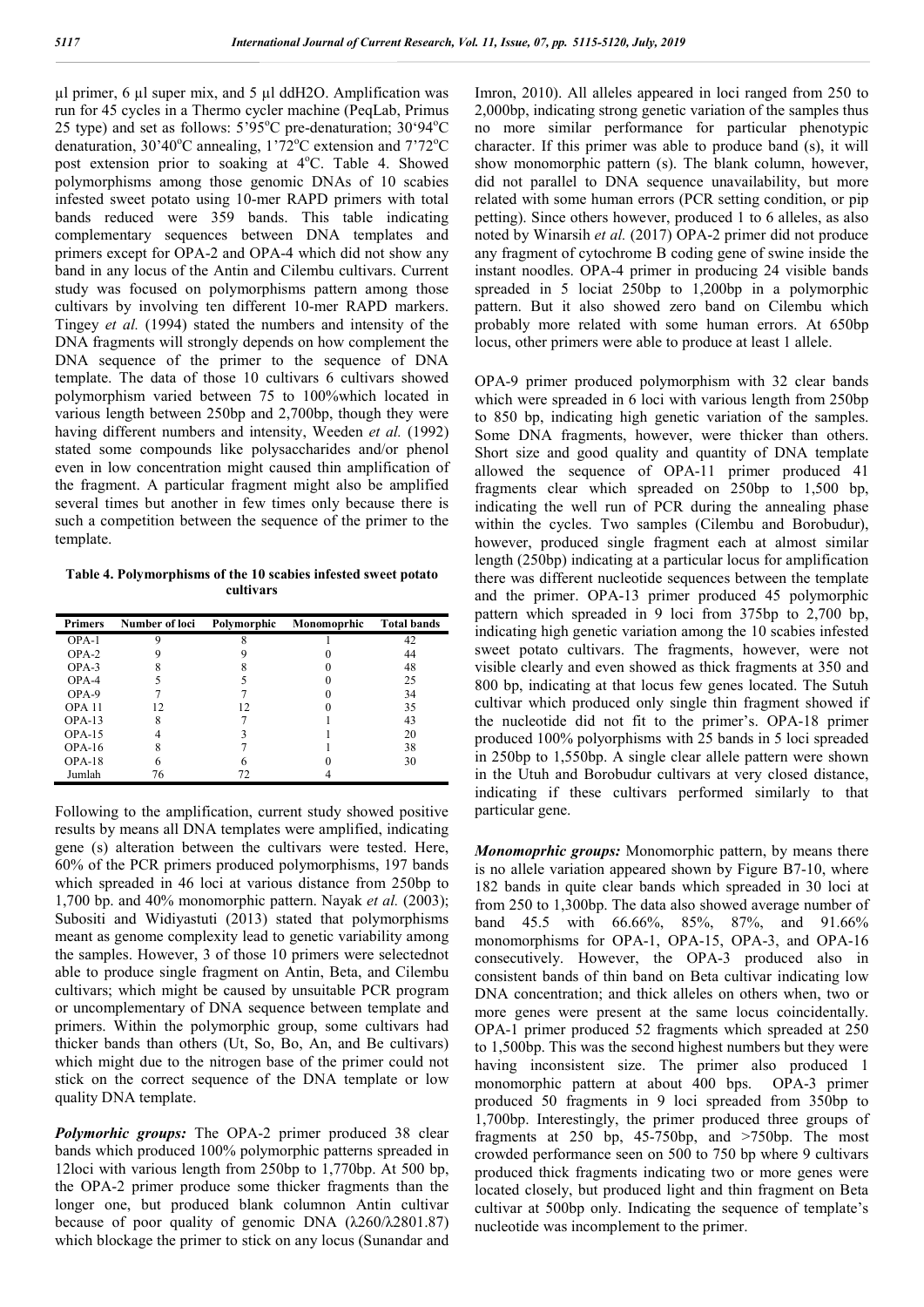µl primer, 6 µl super mix, and 5 µl ddH2O. Amplification was run for 45 cycles in a Thermo cycler machine (PeqLab, Primus 25 type) and set as follows: 5'95°C pre-denaturation; 30'94°C denaturation, 30'40°C annealing, 1'72°C extension and 7'72°C post extension prior to soaking at 4°C. Table 4. Showed polymorphisms among those genomic DNAs of 10 scabies infested sweet potato using 10-mer RAPD primers with total bands reduced were 359 bands. This table indicating complementary sequences between DNA templates and primers except for OPA-2 and OPA-4 which did not show any band in any locus of the Antin and Cilembu cultivars. Current study was focused on polymorphisms pattern among those cultivars by involving ten different 10-mer RAPD markers. Tingey *et al.* (1994) stated the numbers and intensity of the DNA fragments will strongly depends on how complement the DNA sequence of the primer to the sequence of DNA template. The data of those 10 cultivars 6 cultivars showed polymorphism varied between 75 to 100%which located in various length between 250bp and 2,700bp, though they were having different numbers and intensity, Weeden *et al.* (1992) stated some compounds like polysaccharides and/or phenol even in low concentration might caused thin amplification of the fragment. A particular fragment might also be amplified several times but another in few times only because there is such a competition between the sequence of the primer to the template.

**Table 4. Polymorphisms of the 10 scabies infested sweet potato cultivars**

| <b>Primers</b>    | Number of loci | Polymorphic | Monomoprhic | <b>Total bands</b> |
|-------------------|----------------|-------------|-------------|--------------------|
| OPA-1             |                |             |             | 42                 |
| $OPA-2$           |                |             |             | 44                 |
| $OPA-3$           |                |             |             | 48                 |
| OPA-4             |                |             |             | 25                 |
| OPA-9             |                |             |             | 34                 |
| OPA <sub>11</sub> | 12             | 12          |             | 35                 |
| $OPA-13$          |                |             |             | 43                 |
| $OPA-15$          |                |             |             | 20                 |
| $OPA-16$          |                |             |             | 38                 |
| $OPA-18$          |                |             |             | 30                 |
| Jumlah            | 76             |             |             |                    |

Following to the amplification, current study showed positive results by means all DNA templates were amplified, indicating gene (s) alteration between the cultivars were tested. Here, 60% of the PCR primers produced polymorphisms, 197 bands which spreaded in 46 loci at various distance from 250bp to 1,700 bp. and 40% monomorphic pattern. Nayak *et al.* (2003); Subositi and Widiyastuti (2013) stated that polymorphisms meant as genome complexity lead to genetic variability among the samples. However, 3 of those 10 primers were selectednot able to produce single fragment on Antin, Beta, and Cilembu cultivars; which might be caused by unsuitable PCR program or uncomplementary of DNA sequence between template and primers. Within the polymorphic group, some cultivars had thicker bands than others (Ut, So, Bo, An, and Be cultivars) which might due to the nitrogen base of the primer could not stick on the correct sequence of the DNA template or low quality DNA template.

*Polymorhic groups:* The OPA-2 primer produced 38 clear bands which produced 100% polymorphic patterns spreaded in 12loci with various length from 250bp to 1,770bp. At 500 bp, the OPA-2 primer produce some thicker fragments than the longer one, but produced blank columnon Antin cultivar because of poor quality of genomic DNA (λ260/λ2801.87) which blockage the primer to stick on any locus (Sunandar and

Imron, 2010). All alleles appeared in loci ranged from 250 to 2,000bp, indicating strong genetic variation of the samples thus no more similar performance for particular phenotypic character. If this primer was able to produce band (s), it will show monomorphic pattern (s). The blank column, however, did not parallel to DNA sequence unavailability, but more related with some human errors (PCR setting condition, or pip petting). Since others however, produced 1 to 6 alleles, as also noted by Winarsih *et al.* (2017) OPA-2 primer did not produce any fragment of cytochrome B coding gene of swine inside the instant noodles. OPA-4 primer in producing 24 visible bands spreaded in 5 lociat 250bp to 1,200bp in a polymorphic pattern. But it also showed zero band on Cilembu which probably more related with some human errors. At 650bp locus, other primers were able to produce at least 1 allele.

OPA-9 primer produced polymorphism with 32 clear bands which were spreaded in 6 loci with various length from 250bp to 850 bp, indicating high genetic variation of the samples. Some DNA fragments, however, were thicker than others. Short size and good quality and quantity of DNA template allowed the sequence of OPA-11 primer produced 41 fragments clear which spreaded on 250bp to 1,500 bp, indicating the well run of PCR during the annealing phase within the cycles. Two samples (Cilembu and Borobudur), however, produced single fragment each at almost similar length (250bp) indicating at a particular locus for amplification there was different nucleotide sequences between the template and the primer. OPA-13 primer produced 45 polymorphic pattern which spreaded in 9 loci from 375bp to 2,700 bp, indicating high genetic variation among the 10 scabies infested sweet potato cultivars. The fragments, however, were not visible clearly and even showed as thick fragments at 350 and 800 bp, indicating at that locus few genes located. The Sutuh cultivar which produced only single thin fragment showed if the nucleotide did not fit to the primer's. OPA-18 primer produced 100% polyorphisms with 25 bands in 5 loci spreaded in 250bp to 1,550bp. A single clear allele pattern were shown in the Utuh and Borobudur cultivars at very closed distance, indicating if these cultivars performed similarly to that particular gene.

*Monomoprhic groups:* Monomorphic pattern, by means there is no allele variation appeared shown by Figure B7-10, where 182 bands in quite clear bands which spreaded in 30 loci at from 250 to 1,300bp. The data also showed average number of band 45.5 with 66.66%, 85%, 87%, and 91.66% monomorphisms for OPA-1, OPA-15, OPA-3, and OPA-16 consecutively. However, the OPA-3 produced also in consistent bands of thin band on Beta cultivar indicating low DNA concentration; and thick alleles on others when, two or more genes were present at the same locus coincidentally. OPA-1 primer produced 52 fragments which spreaded at 250 to 1,500bp. This was the second highest numbers but they were having inconsistent size. The primer also produced 1 monomorphic pattern at about 400 bps. OPA-3 primer produced 50 fragments in 9 loci spreaded from 350bp to 1,700bp. Interestingly, the primer produced three groups of fragments at 250 bp, 45-750bp, and >750bp. The most crowded performance seen on 500 to 750 bp where 9 cultivars produced thick fragments indicating two or more genes were located closely, but produced light and thin fragment on Beta cultivar at 500bp only. Indicating the sequence of template's nucleotide was incomplement to the primer.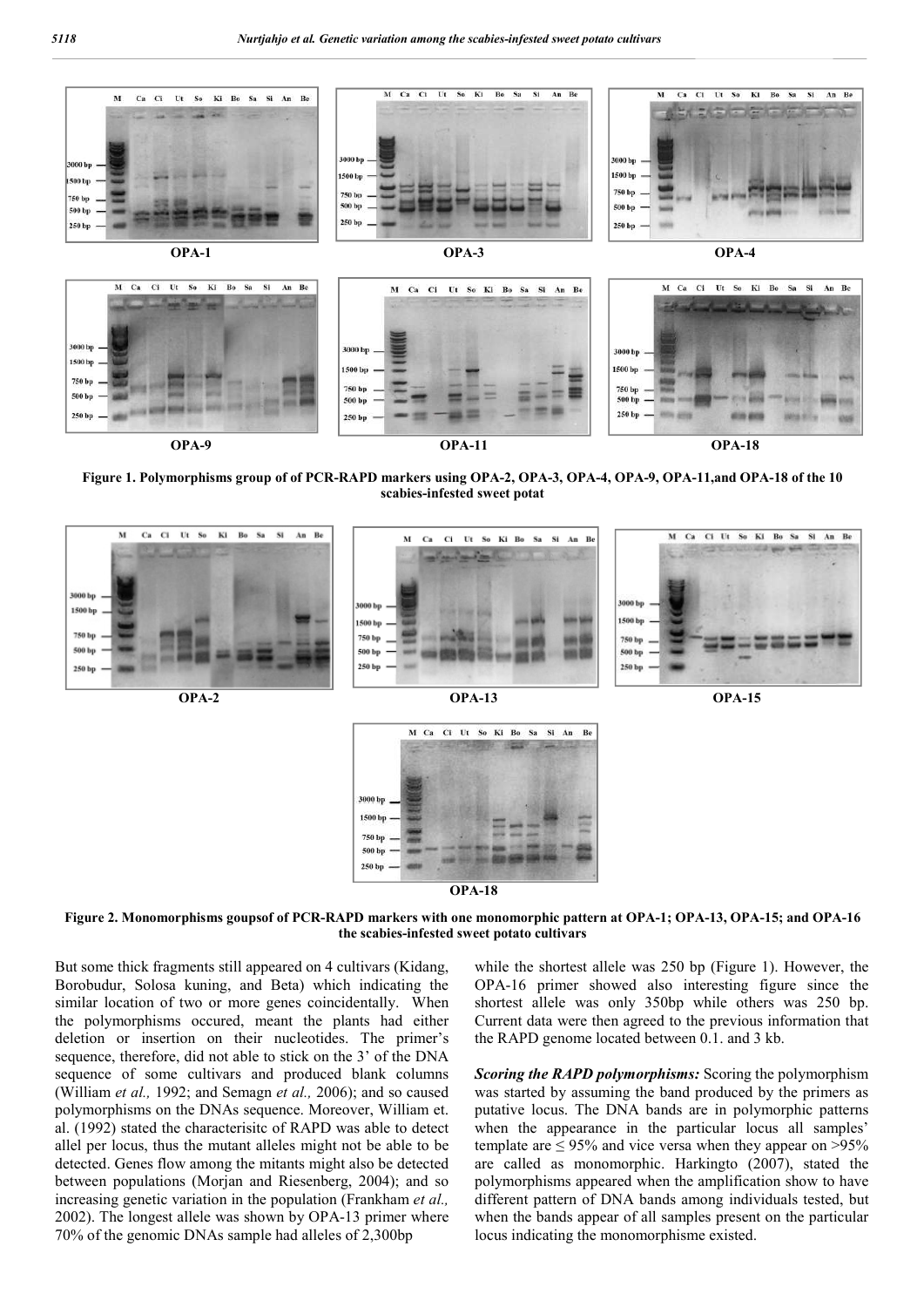

**Figure 1. Polymorphisms group of of PCR-RAPD markers using OPA-2, OPA-3, OPA-4, OPA-9, OPA-11,and OPA-18 of the 10 scabies-infested sweet potat**



**OPA-18**

**Figure 2. Monomorphisms goupsof of PCR-RAPD markers with one monomorphic pattern at OPA-1; OPA-13, OPA-15; and OPA-16 the scabies-infested sweet potato cultivars**

But some thick fragments still appeared on 4 cultivars (Kidang, Borobudur, Solosa kuning, and Beta) which indicating the similar location of two or more genes coincidentally. When the polymorphisms occured, meant the plants had either deletion or insertion on their nucleotides. The primer's sequence, therefore, did not able to stick on the 3' of the DNA sequence of some cultivars and produced blank columns (William *et al.,* 1992; and Semagn *et al.,* 2006); and so caused polymorphisms on the DNAs sequence. Moreover, William et. al. (1992) stated the characterisitc of RAPD was able to detect allel per locus, thus the mutant alleles might not be able to be detected. Genes flow among the mitants might also be detected between populations (Morjan and Riesenberg, 2004); and so increasing genetic variation in the population (Frankham *et al.,*  2002). The longest allele was shown by OPA-13 primer where 70% of the genomic DNAs sample had alleles of 2,300bp

while the shortest allele was 250 bp (Figure 1). However, the OPA-16 primer showed also interesting figure since the shortest allele was only 350bp while others was 250 bp. Current data were then agreed to the previous information that the RAPD genome located between 0.1. and 3 kb.

*Scoring the RAPD polymorphisms:* Scoring the polymorphism was started by assuming the band produced by the primers as putative locus. The DNA bands are in polymorphic patterns when the appearance in the particular locus all samples' template are  $\leq$  95% and vice versa when they appear on >95% are called as monomorphic. Harkingto (2007), stated the polymorphisms appeared when the amplification show to have different pattern of DNA bands among individuals tested, but when the bands appear of all samples present on the particular locus indicating the monomorphisme existed.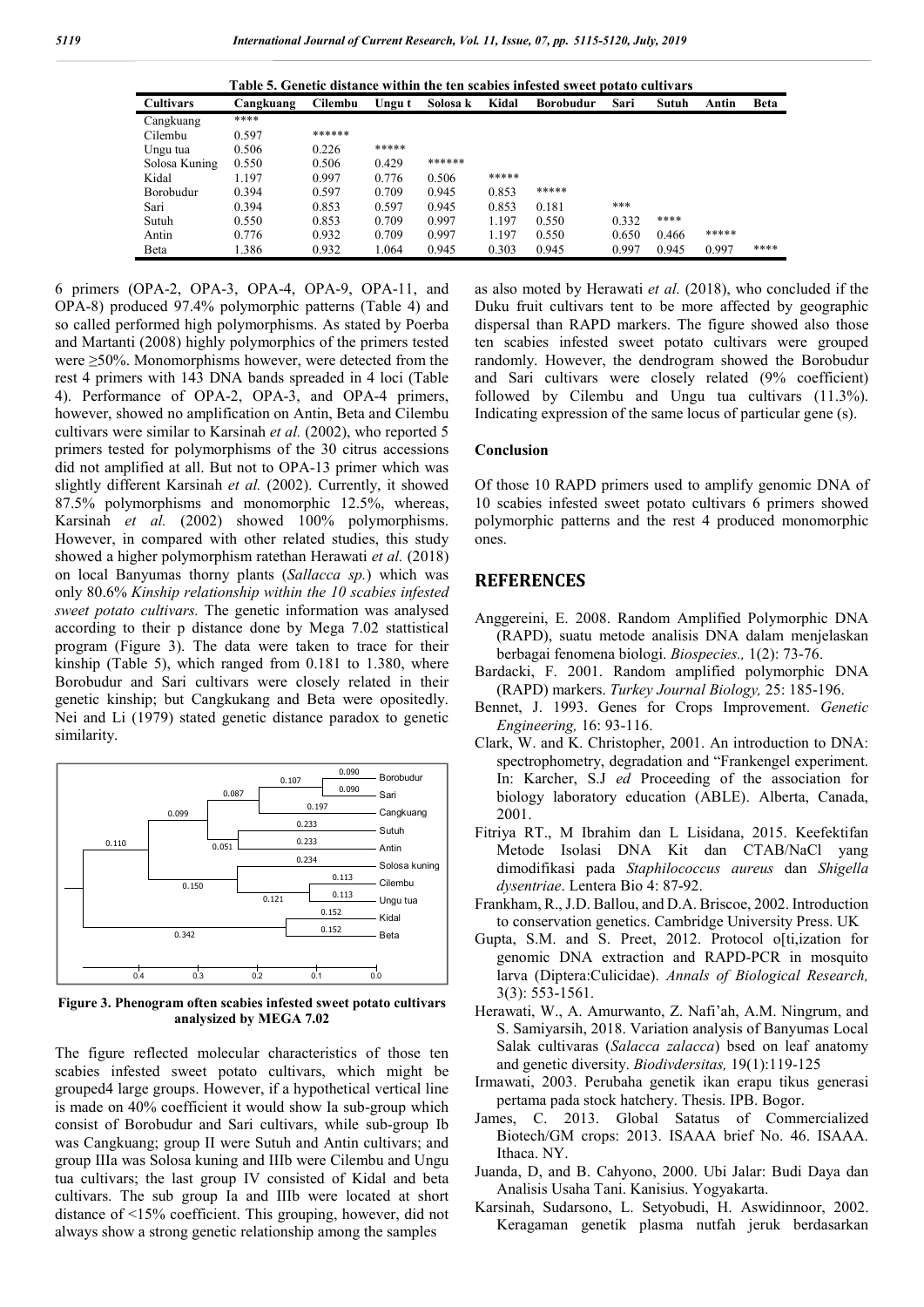| Table 5. Genetic distance within the ten scabies infested sweet potato cultivars |  |  |                                                                  |  |  |
|----------------------------------------------------------------------------------|--|--|------------------------------------------------------------------|--|--|
|                                                                                  |  |  | Cangkuang Cilembu Ungut Solosak Kidal Borobudur Sari Sutuh Antin |  |  |

| <b>Cultivars</b> | Cangkuang | Cilembu | Ungu t | Solosa k | Kidal | <b>Borobudur</b> | Sari  | Sutuh | Antin | <b>Beta</b> |
|------------------|-----------|---------|--------|----------|-------|------------------|-------|-------|-------|-------------|
| Cangkuang        | ****      |         |        |          |       |                  |       |       |       |             |
| Cilembu          | 0.597     | ******  |        |          |       |                  |       |       |       |             |
| Ungu tua         | 0.506     | 0.226   | *****  |          |       |                  |       |       |       |             |
| Solosa Kuning    | 0.550     | 0.506   | 0.429  | ******   |       |                  |       |       |       |             |
| Kidal            | 1.197     | 0.997   | 0.776  | 0.506    | ***** |                  |       |       |       |             |
| Borobudur        | 0.394     | 0.597   | 0.709  | 0.945    | 0.853 | *****            |       |       |       |             |
| Sari             | 0.394     | 0.853   | 0.597  | 0.945    | 0.853 | 0.181            | ***   |       |       |             |
| Sutuh            | 0.550     | 0.853   | 0.709  | 0.997    | 1.197 | 0.550            | 0.332 | ****  |       |             |
| Antin            | 0.776     | 0.932   | 0.709  | 0.997    | 1.197 | 0.550            | 0.650 | 0.466 | ***** |             |
| Beta             | 1.386     | 0.932   | 1.064  | 0.945    | 0.303 | 0.945            | 0.997 | 0.945 | 0.997 | ****        |

6 primers (OPA-2, OPA-3, OPA-4, OPA-9, OPA-11, and OPA-8) produced 97.4% polymorphic patterns (Table 4) and so called performed high polymorphisms. As stated by Poerba and Martanti (2008) highly polymorphics of the primers tested were ≥50%. Monomorphisms however, were detected from the rest 4 primers with 143 DNA bands spreaded in 4 loci (Table 4). Performance of OPA-2, OPA-3, and OPA-4 primers, however, showed no amplification on Antin, Beta and Cilembu cultivars were similar to Karsinah *et al.* (2002), who reported 5 primers tested for polymorphisms of the 30 citrus accessions did not amplified at all. But not to OPA-13 primer which was slightly different Karsinah *et al.* (2002). Currently, it showed 87.5% polymorphisms and monomorphic 12.5%, whereas, Karsinah *et al.* (2002) showed 100% polymorphisms. However, in compared with other related studies, this study showed a higher polymorphism ratethan Herawati *et al.* (2018) on local Banyumas thorny plants (*Sallacca sp.*) which was only 80.6% *Kinship relationship within the 10 scabies infested sweet potato cultivars.* The genetic information was analysed according to their p distance done by Mega 7.02 stattistical program (Figure 3). The data were taken to trace for their kinship (Table 5), which ranged from 0.181 to 1.380, where Borobudur and Sari cultivars were closely related in their genetic kinship; but Cangkukang and Beta were opositedly. Nei and Li (1979) stated genetic distance paradox to genetic similarity.



**Figure 3. Phenogram often scabies infested sweet potato cultivars analysized by MEGA 7.02**

The figure reflected molecular characteristics of those ten scabies infested sweet potato cultivars, which might be grouped4 large groups. However, if a hypothetical vertical line is made on 40% coefficient it would show Ia sub-group which consist of Borobudur and Sari cultivars, while sub-group Ib was Cangkuang; group II were Sutuh and Antin cultivars; and group IIIa was Solosa kuning and IIIb were Cilembu and Ungu tua cultivars; the last group IV consisted of Kidal and beta cultivars. The sub group Ia and IIIb were located at short distance of <15% coefficient. This grouping, however, did not always show a strong genetic relationship among the samples

as also moted by Herawati *et al.* (2018), who concluded if the Duku fruit cultivars tent to be more affected by geographic dispersal than RAPD markers. The figure showed also those ten scabies infested sweet potato cultivars were grouped randomly. However, the dendrogram showed the Borobudur and Sari cultivars were closely related (9% coefficient) followed by Cilembu and Ungu tua cultivars (11.3%). Indicating expression of the same locus of particular gene (s).

#### **Conclusion**

Of those 10 RAPD primers used to amplify genomic DNA of 10 scabies infested sweet potato cultivars 6 primers showed polymorphic patterns and the rest 4 produced monomorphic ones.

#### **REFERENCES**

- Anggereini, E. 2008. Random Amplified Polymorphic DNA (RAPD), suatu metode analisis DNA dalam menjelaskan berbagai fenomena biologi. *Biospecies.,* 1(2): 73-76.
- Bardacki, F. 2001. Random amplified polymorphic DNA (RAPD) markers. *Turkey Journal Biology,* 25: 185-196.
- Bennet, J. 1993. Genes for Crops Improvement. *Genetic Engineering,* 16: 93-116.
- Clark, W. and K. Christopher, 2001. An introduction to DNA: spectrophometry, degradation and "Frankengel experiment. In: Karcher, S.J *ed* Proceeding of the association for biology laboratory education (ABLE). Alberta, Canada, 2001.
- Fitriya RT., M Ibrahim dan L Lisidana, 2015. Keefektifan Metode Isolasi DNA Kit dan CTAB/NaCl yang dimodifikasi pada *Staphilococcus aureus* dan *Shigella dysentriae*. Lentera Bio 4: 87-92.
- Frankham, R.,J.D. Ballou, and D.A. Briscoe, 2002. Introduction to conservation genetics. Cambridge University Press. UK
- Gupta, S.M. and S. Preet, 2012. Protocol of ti, ization for genomic DNA extraction and RAPD-PCR in mosquito larva (Diptera:Culicidae). *Annals of Biological Research,* 3(3): 553-1561.
- Herawati, W., A. Amurwanto, Z. Nafi'ah, A.M. Ningrum, and S. Samiyarsih, 2018. Variation analysis of Banyumas Local Salak cultivaras (*Salacca zalacca*) bsed on leaf anatomy and genetic diversity. *Biodivdersitas,* 19(1):119-125
- Irmawati, 2003. Perubaha genetik ikan erapu tikus generasi pertama pada stock hatchery. Thesis. IPB. Bogor.
- James, C. 2013. Global Satatus of Commercialized Biotech/GM crops: 2013. ISAAA brief No. 46. ISAAA. Ithaca. NY.
- Juanda, D, and B. Cahyono, 2000. Ubi Jalar: Budi Daya dan Analisis Usaha Tani. Kanisius. Yogyakarta.
- Karsinah, Sudarsono, L. Setyobudi, H. Aswidinnoor, 2002. Keragaman genetik plasma nutfah jeruk berdasarkan